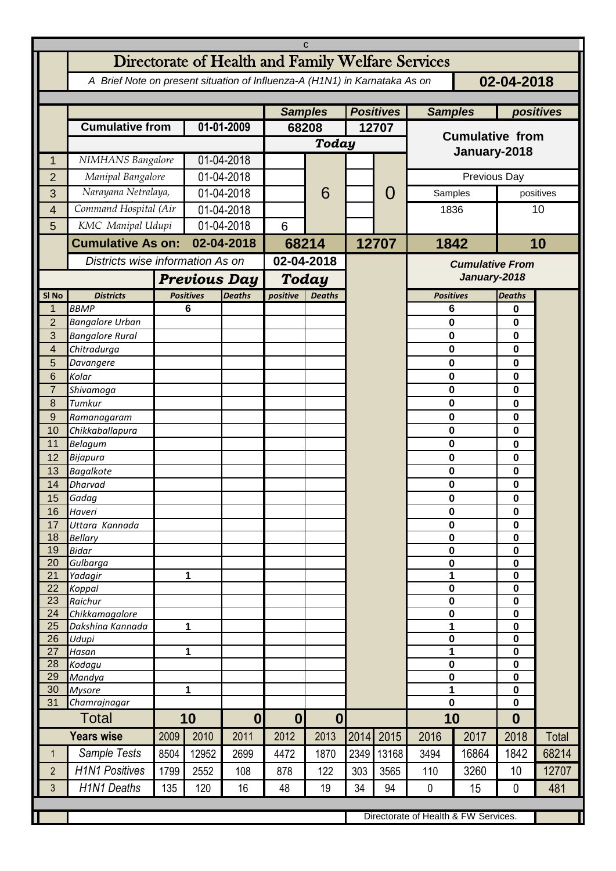| C                   |                                                                                                         |                     |                                  |                          |                  |                  |                  |               |                                      |           |                          |       |  |
|---------------------|---------------------------------------------------------------------------------------------------------|---------------------|----------------------------------|--------------------------|------------------|------------------|------------------|---------------|--------------------------------------|-----------|--------------------------|-------|--|
|                     | Directorate of Health and Family Welfare Services                                                       |                     |                                  |                          |                  |                  |                  |               |                                      |           |                          |       |  |
|                     | 02-04-2018<br>A Brief Note on present situation of Influenza-A (H1N1) in Karnataka As on                |                     |                                  |                          |                  |                  |                  |               |                                      |           |                          |       |  |
|                     |                                                                                                         |                     |                                  |                          |                  |                  |                  |               |                                      |           |                          |       |  |
|                     |                                                                                                         |                     |                                  |                          | <b>Samples</b>   |                  | <b>Positives</b> |               | <b>Samples</b>                       | positives |                          |       |  |
|                     | <b>Cumulative from</b>                                                                                  |                     | 01-01-2009                       |                          | 68208            |                  | 12707            |               |                                      |           |                          |       |  |
|                     |                                                                                                         |                     |                                  |                          |                  | <b>Today</b>     |                  |               | <b>Cumulative from</b>               |           |                          |       |  |
| 1                   | NIMHANS Bangalore                                                                                       |                     | 01-04-2018                       |                          |                  |                  |                  |               | January-2018                         |           |                          |       |  |
| $\overline{2}$      | Manipal Bangalore                                                                                       |                     | 01-04-2018                       |                          |                  |                  |                  |               | Previous Day                         |           |                          |       |  |
| 3                   | Narayana Netralaya,                                                                                     |                     | 01-04-2018                       |                          |                  | 6                | O                | Samples       |                                      | positives |                          |       |  |
|                     | Command Hospital (Air                                                                                   |                     | 01-04-2018                       |                          |                  |                  |                  |               | 1836                                 |           | 10                       |       |  |
| 4                   | KMC Manipal Udupi                                                                                       |                     | 01-04-2018                       |                          |                  |                  |                  |               |                                      |           |                          |       |  |
| 5                   |                                                                                                         |                     |                                  |                          | 6                |                  |                  |               |                                      |           |                          |       |  |
|                     | <b>Cumulative As on:</b>                                                                                |                     | 02-04-2018                       |                          | 68214            |                  |                  | 12707<br>1842 |                                      | 10        |                          |       |  |
|                     |                                                                                                         |                     | Districts wise information As on |                          |                  | 02-04-2018       |                  |               | <b>Cumulative From</b>               |           |                          |       |  |
|                     |                                                                                                         | <b>Previous Day</b> |                                  |                          |                  | Today            |                  |               | January-2018                         |           |                          |       |  |
| SI <sub>No</sub>    | <b>Districts</b>                                                                                        |                     | <b>Positives</b>                 | <b>Deaths</b>            | positive         | <b>Deaths</b>    |                  |               | <b>Positives</b>                     |           | <b>Deaths</b>            |       |  |
| 1                   | <b>BBMP</b>                                                                                             |                     | 6                                |                          |                  |                  |                  |               | 6                                    |           | 0                        |       |  |
| $\overline{2}$      | <b>Bangalore Urban</b>                                                                                  |                     |                                  |                          |                  |                  |                  |               | $\mathbf 0$                          |           | $\bf{0}$                 |       |  |
| 3                   | <b>Bangalore Rural</b>                                                                                  |                     |                                  |                          |                  |                  |                  |               | 0                                    |           | 0                        |       |  |
| $\overline{4}$<br>5 | Chitradurga                                                                                             |                     |                                  |                          |                  |                  |                  |               | $\mathbf 0$<br>0                     |           | $\mathbf 0$<br>0         |       |  |
| 6                   | Davangere<br>Kolar                                                                                      |                     |                                  |                          |                  |                  |                  |               | 0                                    |           | 0                        |       |  |
| $\overline{7}$      | Shivamoga                                                                                               |                     |                                  |                          |                  |                  |                  |               | $\mathbf 0$                          |           | $\mathbf 0$              |       |  |
| 8                   | Tumkur                                                                                                  |                     |                                  |                          |                  |                  |                  |               | 0                                    |           | 0                        |       |  |
| 9                   | Ramanagaram                                                                                             |                     |                                  |                          |                  |                  |                  |               | $\mathbf 0$                          |           | 0                        |       |  |
| 10                  | Chikkaballapura                                                                                         |                     |                                  |                          |                  |                  |                  |               | 0                                    |           | 0                        |       |  |
| 11                  | <b>Belagum</b>                                                                                          |                     |                                  |                          |                  |                  |                  |               | $\bf{0}$                             |           | 0                        |       |  |
| 12                  | Bijapura                                                                                                |                     |                                  |                          |                  |                  |                  |               | $\mathbf 0$                          |           | $\mathbf 0$              |       |  |
| 13                  | <b>Bagalkote</b>                                                                                        |                     |                                  |                          |                  |                  |                  |               | $\mathbf 0$                          |           | 0                        |       |  |
| 14                  | <b>Dharvad</b>                                                                                          |                     |                                  |                          |                  |                  |                  |               | 0                                    |           | 0                        |       |  |
| 15<br>16            | Gadag<br>Haveri                                                                                         |                     |                                  |                          |                  |                  |                  |               | 0<br>0                               |           | 0<br>0                   |       |  |
| 17                  | Uttara Kannada                                                                                          |                     |                                  |                          |                  |                  |                  |               | $\pmb{0}$                            |           | 0                        |       |  |
| 18                  | <b>Bellary</b>                                                                                          |                     |                                  |                          |                  |                  |                  |               | $\mathbf 0$                          |           | 0                        |       |  |
| 19                  | <b>Bidar</b>                                                                                            |                     |                                  |                          |                  |                  |                  |               | 0                                    |           | 0                        |       |  |
| 20                  | Gulbarga                                                                                                |                     |                                  |                          |                  |                  |                  |               | $\pmb{0}$                            |           | $\pmb{0}$                |       |  |
| 21                  | Yadagir                                                                                                 |                     | 1                                |                          |                  |                  |                  |               | 1                                    |           | $\mathbf 0$              |       |  |
| 22<br>23            | Koppal<br>Raichur                                                                                       |                     |                                  |                          |                  |                  |                  |               | $\bf{0}$<br>$\mathbf 0$              |           | $\mathbf 0$<br>$\pmb{0}$ |       |  |
| 24                  | Chikkamagalore                                                                                          |                     |                                  |                          |                  |                  |                  |               | $\mathbf 0$                          |           | $\mathbf 0$              |       |  |
| 25                  | Dakshina Kannada                                                                                        | 1                   |                                  |                          |                  |                  |                  |               | 1                                    |           | $\mathbf 0$              |       |  |
| 26                  | Udupi                                                                                                   |                     |                                  |                          |                  |                  |                  |               | $\pmb{0}$                            |           | $\pmb{0}$                |       |  |
| 27                  | Hasan                                                                                                   | 1                   |                                  |                          |                  |                  |                  |               | 1                                    |           | $\pmb{0}$                |       |  |
| 28<br>29            | Kodagu<br>Mandya                                                                                        |                     |                                  |                          |                  |                  |                  |               | $\pmb{0}$<br>$\pmb{0}$               |           | $\pmb{0}$<br>$\pmb{0}$   |       |  |
| 30                  | <b>Mysore</b>                                                                                           | 1                   |                                  |                          |                  |                  |                  |               | 1                                    |           | 0                        |       |  |
| 31                  | Chamrajnagar                                                                                            |                     |                                  |                          |                  |                  |                  |               | $\bf{0}$                             |           | $\mathbf 0$              |       |  |
|                     | Total                                                                                                   |                     | 10                               |                          | $\boldsymbol{0}$ | $\boldsymbol{0}$ |                  |               |                                      | 10        |                          |       |  |
|                     | <b>Years wise</b>                                                                                       | 2009                | 2010                             | $\boldsymbol{0}$<br>2011 | 2012             | 2013             | 2014             | 2015          | 2016                                 | 2017      | $\boldsymbol{0}$<br>2018 | Total |  |
| $\mathbf{1}$        | Sample Tests                                                                                            | 8504                | 12952                            | 2699                     | 4472             | 1870             | 2349             | 13168         | 3494                                 | 16864     | 1842                     | 68214 |  |
| $\overline{2}$      | <b>H1N1 Positives</b>                                                                                   | 1799                | 2552                             | 108                      | 878              | 122              | 303              | 3565          | 110                                  | 3260      | 10                       | 12707 |  |
|                     |                                                                                                         |                     |                                  |                          |                  |                  |                  |               |                                      |           |                          |       |  |
|                     | <b>H1N1 Deaths</b><br>34<br>15<br>481<br>$\mathfrak{Z}$<br>135<br>120<br>16<br>19<br>94<br>0<br>0<br>48 |                     |                                  |                          |                  |                  |                  |               |                                      |           |                          |       |  |
|                     |                                                                                                         |                     |                                  |                          |                  |                  |                  |               | Directorate of Health & FW Services. |           |                          |       |  |
|                     |                                                                                                         |                     |                                  |                          |                  |                  |                  |               |                                      |           |                          |       |  |